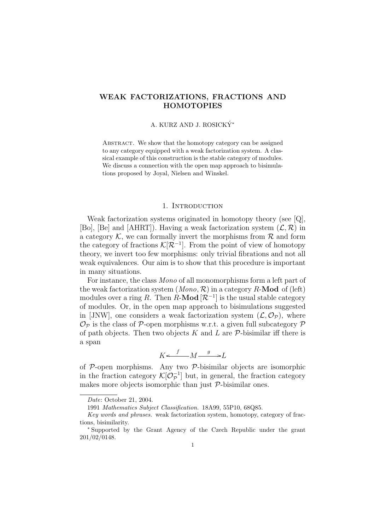# WEAK FACTORIZATIONS, FRACTIONS AND **HOMOTOPIES**

## A. KURZ AND J. ROSICKÝ\*

ABSTRACT. We show that the homotopy category can be assigned to any category equipped with a weak factorization system. A classical example of this construction is the stable category of modules. We discuss a connection with the open map approach to bisimulations proposed by Joyal, Nielsen and Winskel.

## 1. INTRODUCTION

Weak factorization systems originated in homotopy theory (see [Q], [Bo], [Be] and [AHRT]). Having a weak factorization system  $(\mathcal{L}, \mathcal{R})$  in a category  $K$ , we can formally invert the morphisms from  $\mathcal R$  and form the category of fractions  $\mathcal{K}[\mathcal{R}^{-1}]$ . From the point of view of homotopy theory, we invert too few morphisms: only trivial fibrations and not all weak equivalences. Our aim is to show that this procedure is important in many situations.

For instance, the class Mono of all monomorphisms form a left part of the weak factorization system  $(Mono, \mathcal{R})$  in a category R-Mod of (left) modules over a ring R. Then R-Mod  $[\mathcal{R}^{-1}]$  is the usual stable category of modules. Or, in the open map approach to bisimulations suggested in [JNW], one considers a weak factorization system  $(\mathcal{L}, \mathcal{O}_{\mathcal{P}})$ , where  $\mathcal{O}_{\mathcal{P}}$  is the class of  $\mathcal{P}$ -open morphisms w.r.t. a given full subcategory  $\mathcal P$ of path objects. Then two objects  $K$  and  $L$  are  $\mathcal P$ -bisimilar iff there is a span

$$
K \xleftarrow{f} M \xrightarrow{g} L
$$

of  $P$ -open morphisms. Any two  $P$ -bisimilar objects are isomorphic in the fraction category  $\mathcal{K}[\mathcal{O}_p^{-1}]$  $\mathcal{P}^{-1}$  but, in general, the fraction category makes more objects isomorphic than just  $P$ -bisimilar ones.

Date: October 21, 2004.

<sup>1991</sup> Mathematics Subject Classification. 18A99, 55P10, 68Q85.

Key words and phrases. weak factorization system, homotopy, category of fractions, bisimilarity.

<sup>∗</sup> Supported by the Grant Agency of the Czech Republic under the grant 201/02/0148.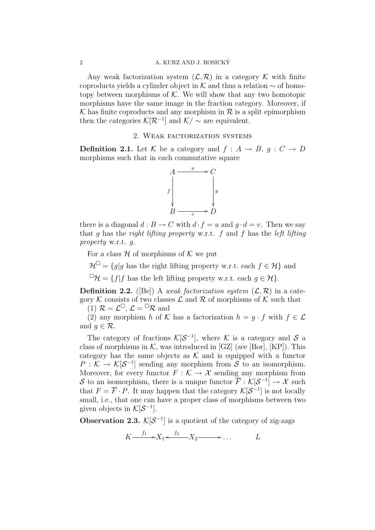Any weak factorization system  $(\mathcal{L}, \mathcal{R})$  in a category K with finite coproducts yields a cylinder object in K and thus a relation  $\sim$  of homotopy between morphisms of  $K$ . We will show that any two homotopic morphisms have the same image in the fraction category. Moreover, if  $\mathcal K$  has finite coproducts and any morphism in  $\mathcal R$  is a split epimorphism then the categories  $\mathcal{K}[\mathcal{R}^{-1}]$  and  $\mathcal{K}/\sim$  are equivalent.

# 2. Weak factorization systems

**Definition 2.1.** Let K be a category and  $f : A \rightarrow B$ ,  $g : C \rightarrow D$ morphisms such that in each commutative square



there is a diagonal  $d : B \to C$  with  $d \cdot f = u$  and  $g \cdot d = v$ . Then we say that q has the right lifting property w.r.t.  $f$  and  $f$  has the left lifting property w.r.t. g.

For a class  $H$  of morphisms of  $K$  we put

 $\mathcal{H}^{\square} = \{g | g \text{ has the right lifting property w.r.t. each } f \in \mathcal{H} \}$  and

 $\Box \mathcal{H} = \{f | f$  has the left lifting property w.r.t. each  $g \in \mathcal{H}\}.$ 

**Definition 2.2.** ([Be]) A weak factorization system  $(\mathcal{L}, \mathcal{R})$  in a category K consists of two classes  $\mathcal L$  and  $\mathcal R$  of morphisms of K such that

(1)  $\mathcal{R} = \mathcal{L}^{\square}, \mathcal{L} = {}^{\square} \mathcal{R}$  and

(2) any morphism h of K has a factorization  $h = g \cdot f$  with  $f \in \mathcal{L}$ and  $q \in \mathcal{R}$ .

The category of fractions  $\mathcal{K}[\mathcal{S}^{-1}]$ , where  $\mathcal K$  is a category and  $\mathcal S$  a class of morphisms in  $K$ , was introduced in [GZ] (see [Bor], [KP]). This category has the same objects as  $K$  and is equipped with a functor  $P: \mathcal{K} \to \mathcal{K}[\mathcal{S}^{-1}]$  sending any morphism from S to an isomorphism. Moreover, for every functor  $F : \mathcal{K} \to \mathcal{X}$  sending any morphism from S to an isomorphism, there is a unique functor  $\overline{F} : \mathcal{K}[\mathcal{S}^{-1}] \to \mathcal{X}$  such that  $F = \overline{F} \cdot P$ . It may happen that the category  $\mathcal{K}[\mathcal{S}^{-1}]$  is not locally small, i.e., that one can have a proper class of morphisms between two given objects in  $\mathcal{K}[\mathcal{S}^{-1}]$ .

**Observation 2.3.**  $\mathcal{K}[\mathcal{S}^{-1}]$  is a quotient of the category of zig-zags

$$
K \xrightarrow{f_1} X_1 \xleftarrow{f_2} X_2 \xrightarrow{L} \dots
$$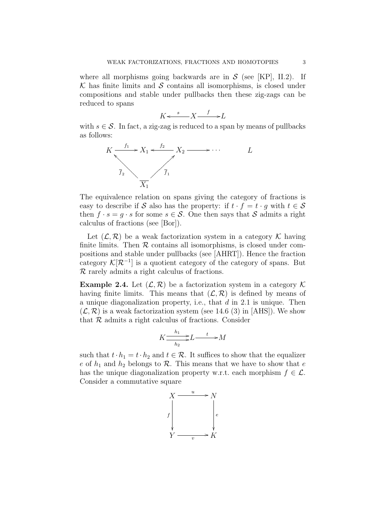where all morphisms going backwards are in  $S$  (see [KP], II.2). If  $\mathcal K$  has finite limits and  $\mathcal S$  contains all isomorphisms, is closed under compositions and stable under pullbacks then these zig-zags can be reduced to spans

$$
K \xleftarrow{s} X \xrightarrow{f} L
$$

with  $s \in \mathcal{S}$ . In fact, a zig-zag is reduced to a span by means of pullbacks as follows:



The equivalence relation on spans giving the category of fractions is easy to describe if S also has the property: if  $t \cdot f = t \cdot q$  with  $t \in S$ then  $f \cdot s = g \cdot s$  for some  $s \in \mathcal{S}$ . One then says that S admits a right calculus of fractions (see [Bor]).

Let  $(\mathcal{L}, \mathcal{R})$  be a weak factorization system in a category K having finite limits. Then  $R$  contains all isomorphisms, is closed under compositions and stable under pullbacks (see [AHRT]). Hence the fraction category  $\mathcal{K}[\mathcal{R}^{-1}]$  is a quotient category of the category of spans. But R rarely admits a right calculus of fractions.

**Example 2.4.** Let  $(\mathcal{L}, \mathcal{R})$  be a factorization system in a category  $\mathcal{K}$ having finite limits. This means that  $(\mathcal{L}, \mathcal{R})$  is defined by means of a unique diagonalization property, i.e., that  $d$  in 2.1 is unique. Then  $(\mathcal{L}, \mathcal{R})$  is a weak factorization system (see 14.6 (3) in [AHS]). We show that  $R$  admits a right calculus of fractions. Consider

$$
K \frac{h_1}{h_2} L \longrightarrow L
$$

such that  $t \cdot h_1 = t \cdot h_2$  and  $t \in \mathcal{R}$ . It suffices to show that the equalizer e of  $h_1$  and  $h_2$  belongs to  $\mathcal R$ . This means that we have to show that e has the unique diagonalization property w.r.t. each morphism  $f \in \mathcal{L}$ . Consider a commutative square

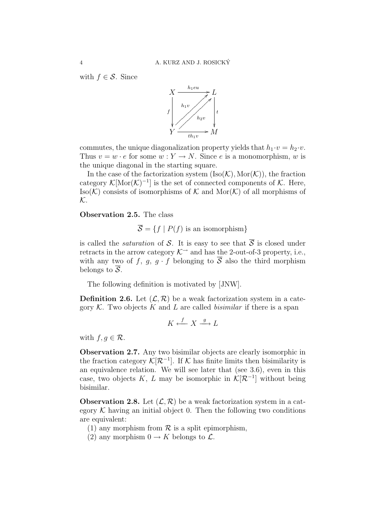with  $f \in \mathcal{S}$ . Since



commutes, the unique diagonalization property yields that  $h_1 \cdot v = h_2 \cdot v$ . Thus  $v = w \cdot e$  for some  $w : Y \to N$ . Since e is a monomorphism, w is the unique diagonal in the starting square.

In the case of the factorization system  $(Iso(K), Mor(K))$ , the fraction category  $\mathcal{K}[\text{Mor}(\mathcal{K})^{-1}]$  is the set of connected components of  $\mathcal{K}$ . Here,  $Iso(K)$  consists of isomorphisms of K and Mor $(K)$  of all morphisms of  $\mathcal{K}.$ 

Observation 2.5. The class

$$
\overline{\mathcal{S}} = \{ f \mid P(f) \text{ is an isomorphism} \}
$$

is called the *saturation* of S. It is easy to see that  $\overline{S}$  is closed under retracts in the arrow category  $K^{\rightarrow}$  and has the 2-out-of-3 property, i.e., with any two of f, g, g  $\cdot$  f belonging to  $\overline{S}$  also the third morphism belongs to  $\overline{S}$ .

The following definition is motivated by [JNW].

**Definition 2.6.** Let  $(\mathcal{L}, \mathcal{R})$  be a weak factorization system in a category  $K$ . Two objects K and L are called *bisimilar* if there is a span

$$
K \xleftarrow{f} X \xrightarrow{g} L
$$

with  $f, g \in \mathcal{R}$ .

Observation 2.7. Any two bisimilar objects are clearly isomorphic in the fraction category  $\mathcal{K}[\mathcal{R}^{-1}]$ . If K has finite limits then bisimilarity is an equivalence relation. We will see later that (see 3.6), even in this case, two objects K, L may be isomorphic in  $\mathcal{K}[\mathcal{R}^{-1}]$  without being bisimilar.

**Observation 2.8.** Let  $(\mathcal{L}, \mathcal{R})$  be a weak factorization system in a category  $K$  having an initial object 0. Then the following two conditions are equivalent:

(1) any morphism from  $\mathcal R$  is a split epimorphism,

(2) any morphism  $0 \to K$  belongs to  $\mathcal{L}$ .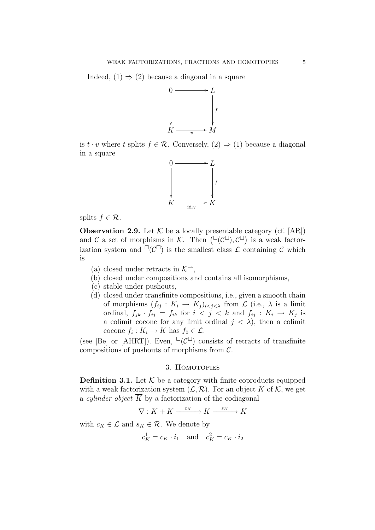Indeed,  $(1) \Rightarrow (2)$  because a diagonal in a square



is  $t \cdot v$  where t splits  $f \in \mathcal{R}$ . Conversely,  $(2) \Rightarrow (1)$  because a diagonal in a square



splits  $f \in \mathcal{R}$ .

**Observation 2.9.** Let  $K$  be a locally presentable category (cf. [AR]) and C a set of morphisms in K. Then  $(\Box(\mathcal{C}^{\Box}), \mathcal{C}^{\Box})$  is a weak factorization system and  $\Box(\mathcal{C}^{\Box})$  is the smallest class  $\mathcal{L}$  containing  $\mathcal{C}$  which is

- (a) closed under retracts in  $K^{\rightarrow}$ ,
- (b) closed under compositions and contains all isomorphisms,
- (c) stable under pushouts,
- (d) closed under transfinite compositions, i.e., given a smooth chain of morphisms  $(f_{ij}: K_i \to K_j)_{i < j < \lambda}$  from  $\mathcal L$  (i.e.,  $\lambda$  is a limit ordinal,  $f_{jk} \cdot f_{ij} = f_{ik}$  for  $i < j < k$  and  $f_{ij} : K_i \to K_j$  is a colimit cocone for any limit ordinal  $j < \lambda$ , then a colimit cocone  $f_i: K_i \to K$  has  $f_0 \in \mathcal{L}$ .

(see [Be] or [AHRT]). Even,  $\Box(\mathcal{C}^{\Box})$  consists of retracts of transfinite compositions of pushouts of morphisms from  $\mathcal{C}$ .

### 3. HOMOTOPIES

**Definition 3.1.** Let  $K$  be a category with finite coproducts equipped with a weak factorization system  $(\mathcal{L}, \mathcal{R})$ . For an object K of K, we get a *cylinder object*  $\overline{K}$  by a factorization of the codiagonal

 $\nabla: K + K \xrightarrow{c_K} \overline{K} \xrightarrow{s_K} K$ 

with  $c_K \in \mathcal{L}$  and  $s_K \in \mathcal{R}$ . We denote by

$$
c_K^1 = c_K \cdot i_1 \quad \text{and} \quad c_K^2 = c_K \cdot i_2
$$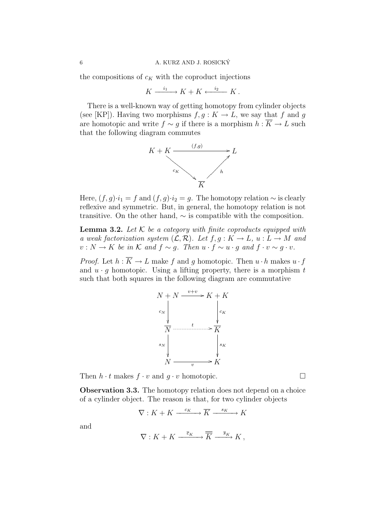the compositions of  $c_K$  with the coproduct injections

$$
K \xrightarrow{i_1} K + K \xleftarrow{i_2} K.
$$

There is a well-known way of getting homotopy from cylinder objects (see [KP]). Having two morphisms  $f, g: K \to L$ , we say that f and g are homotopic and write  $f \sim g$  if there is a morphism  $h : \overline{K} \to L$  such that the following diagram commutes



Here,  $(f, g) \cdot i_1 = f$  and  $(f, g) \cdot i_2 = g$ . The homotopy relation  $\sim$  is clearly reflexive and symmetric. But, in general, the homotopy relation is not transitive. On the other hand,  $\sim$  is compatible with the composition.

**Lemma 3.2.** Let  $K$  be a category with finite coproducts equipped with a weak factorization system  $(\mathcal{L}, \mathcal{R})$ . Let  $f, g: K \to L$ ,  $u: L \to M$  and  $v : N \to K$  be in K and  $f \sim g$ . Then  $u \cdot f \sim u \cdot g$  and  $f \cdot v \sim g \cdot v$ .

*Proof.* Let  $h : \overline{K} \to L$  make f and g homotopic. Then  $u \cdot h$  makes  $u \cdot f$ and  $u \cdot q$  homotopic. Using a lifting property, there is a morphism t such that both squares in the following diagram are commutative



Then  $h \cdot t$  makes  $f \cdot v$  and  $q \cdot v$  homotopic.

**Observation 3.3.** The homotopy relation does not depend on a choice of a cylinder object. The reason is that, for two cylinder objects

$$
\nabla: K + K \xrightarrow{c_K} \overline{K} \xrightarrow{s_K} K
$$

and

$$
\nabla: K + K \xrightarrow{\overline{c}_K} \overline{K} \xrightarrow{\overline{s}_K} K ,
$$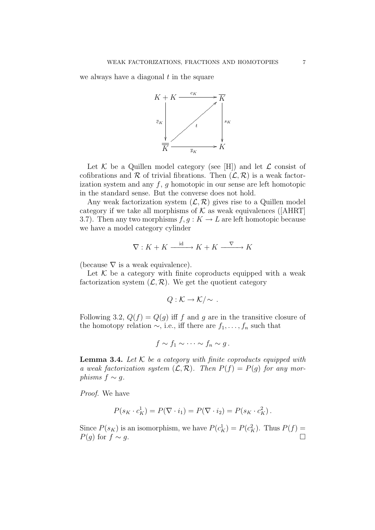we always have a diagonal  $t$  in the square



Let  $K$  be a Quillen model category (see [H]) and let  $\mathcal L$  consist of cofibrations and  $\mathcal R$  of trivial fibrations. Then  $(\mathcal L, \mathcal R)$  is a weak factorization system and any  $f, g$  homotopic in our sense are left homotopic in the standard sense. But the converse does not hold.

Any weak factorization system  $(\mathcal{L}, \mathcal{R})$  gives rise to a Quillen model category if we take all morphisms of  $K$  as weak equivalences ([AHRT] 3.7). Then any two morphisms  $f, g: K \to L$  are left homotopic because we have a model category cylinder

$$
\nabla: K + K \xrightarrow{\text{id}} K + K \xrightarrow{\nabla} K
$$

(because  $\nabla$  is a weak equivalence).

Let  $K$  be a category with finite coproducts equipped with a weak factorization system  $(\mathcal{L}, \mathcal{R})$ . We get the quotient category

$$
Q: \mathcal{K} \to \mathcal{K}/\sim.
$$

Following 3.2,  $Q(f) = Q(g)$  iff f and g are in the transitive closure of the homotopy relation  $\sim$ , i.e., iff there are  $f_1, \ldots, f_n$  such that

$$
f \sim f_1 \sim \cdots \sim f_n \sim g.
$$

**Lemma 3.4.** Let  $K$  be a category with finite coproducts equipped with a weak factorization system  $(\mathcal{L}, \mathcal{R})$ . Then  $P(f) = P(g)$  for any morphisms  $f \sim q$ .

Proof. We have

$$
P(s_K \cdot c_K^1) = P(\nabla \cdot i_1) = P(\nabla \cdot i_2) = P(s_K \cdot c_K^2).
$$

Since  $P(s_K)$  is an isomorphism, we have  $P(c_K^1) = P(c_K^2)$ . Thus  $P(f) =$  $P(g)$  for  $f \sim g$ .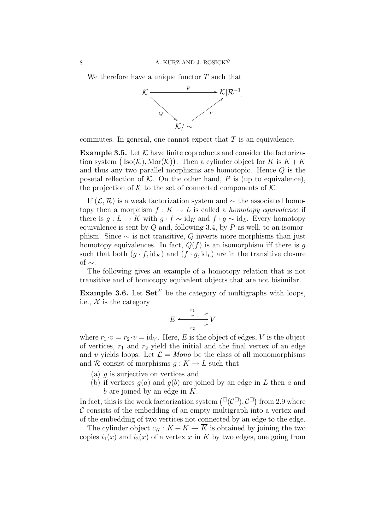We therefore have a unique functor  $T$  such that



commutes. In general, one cannot expect that  $T$  is an equivalence.

**Example 3.5.** Let  $K$  have finite coproducts and consider the factorization system  $(Iso(K), Mor(K))$ . Then a cylinder object for K is  $K + K$ and thus any two parallel morphisms are homotopic. Hence Q is the posetal reflection of  $K$ . On the other hand, P is (up to equivalence), the projection of  $K$  to the set of connected components of  $K$ .

If  $(\mathcal{L}, \mathcal{R})$  is a weak factorization system and  $\sim$  the associated homotopy then a morphism  $f: K \to L$  is called a *homotopy equivalence* if there is  $g: L \to K$  with  $g \cdot f \sim id_K$  and  $f \cdot g \sim id_L$ . Every homotopy equivalence is sent by  $Q$  and, following 3.4, by  $P$  as well, to an isomorphism. Since  $\sim$  is not transitive, Q inverts more morphisms than just homotopy equivalences. In fact,  $Q(f)$  is an isomorphism iff there is g such that both  $(g \cdot f, id_K)$  and  $(f \cdot g, id_L)$  are in the transitive closure of  $\sim$ .

The following gives an example of a homotopy relation that is not transitive and of homotopy equivalent objects that are not bisimilar.

**Example 3.6.** Let  $\mathbf{Set}^{\mathcal{X}}$  be the category of multigraphs with loops, i.e.,  $\mathcal{X}$  is the category

$$
E \xrightarrow[r_1]{r_1} V
$$

$$
T_2 \longrightarrow
$$

where  $r_1 \cdot v = r_2 \cdot v = id_V$ . Here, E is the object of edges, V is the object of vertices,  $r_1$  and  $r_2$  yield the initial and the final vertex of an edge and v yields loops. Let  $\mathcal{L} = \text{Mon}o$  be the class of all monomorphisms and R consist of morphisms  $q: K \to L$  such that

- (a)  $q$  is surjective on vertices and
- (b) if vertices  $q(a)$  and  $q(b)$  are joined by an edge in L then a and b are joined by an edge in  $K$ .

In fact, this is the weak factorization system  $(\Box(\mathcal{C}^{\Box}), \mathcal{C}^{\Box})$  from 2.9 where  $\mathcal C$  consists of the embedding of an empty multigraph into a vertex and of the embedding of two vertices not connected by an edge to the edge.

The cylinder object  $c_K : K + K \to \overline{K}$  is obtained by joining the two copies  $i_1(x)$  and  $i_2(x)$  of a vertex x in K by two edges, one going from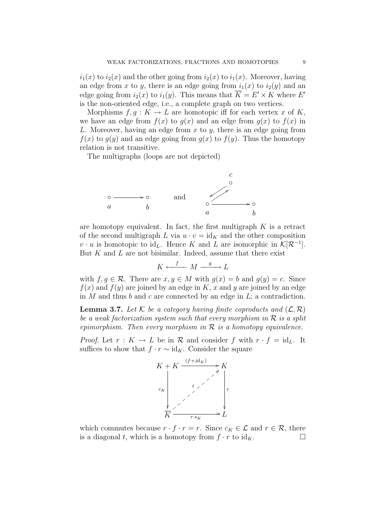$i_1(x)$  to  $i_2(x)$  and the other going from  $i_2(x)$  to  $i_1(x)$ . Moreover, having an edge from x to y, there is an edge going from  $i_1(x)$  to  $i_2(y)$  and an edge going from  $i_2(x)$  to  $i_1(y)$ . This means that  $\overline{K} = E' \times K$  where E' is the non-oriented edge, i.e., a complete graph on two vertices.

Morphisms  $f, g: K \to L$  are homotopic iff for each vertex x of K, we have an edge from  $f(x)$  to  $g(x)$  and an edge from  $g(x)$  to  $f(x)$  in L. Moreover, having an edge from  $x$  to  $y$ , there is an edge going from  $f(x)$  to  $g(y)$  and an edge going from  $g(x)$  to  $f(y)$ . Thus the homotopy relation is not transitive.

The multigraphs (loops are not depicted)



are homotopy equivalent. In fact, the first multigraph  $K$  is a retract of the second multigraph L via  $u \cdot v = id_K$  and the other composition  $v \cdot u$  is homotopic to id<sub>L</sub>. Hence K and L are isomorphic in  $\mathcal{K}[\mathcal{R}^{-1}]$ . But  $K$  and  $L$  are not bisimilar. Indeed, assume that there exist

$$
K \xleftarrow{f} M \xrightarrow{g} L
$$

with  $f, g \in \mathcal{R}$ . There are  $x, y \in M$  with  $g(x) = b$  and  $g(y) = c$ . Since  $f(x)$  and  $f(y)$  are joined by an edge in K, x and y are joined by an edge in  $M$  and thus  $b$  and  $c$  are connected by an edge in  $L$ ; a contradiction.

**Lemma 3.7.** Let K be a category having finite coproducts and  $(\mathcal{L}, \mathcal{R})$ be a weak factorization system such that every morphism in  $\mathcal R$  is a split epimorphism. Then every morphism in  $\mathcal R$  is a homotopy equivalence.

*Proof.* Let  $r: K \to L$  be in R and consider f with  $r \cdot f = id_L$ . It suffices to show that  $f \cdot r \sim id_K$ . Consider the square



which commutes because  $r \cdot f \cdot r = r$ . Since  $c_K \in \mathcal{L}$  and  $r \in \mathcal{R}$ , there is a diagonal t, which is a homotopy from  $f \cdot r$  to  $\mathrm{id}_K$ .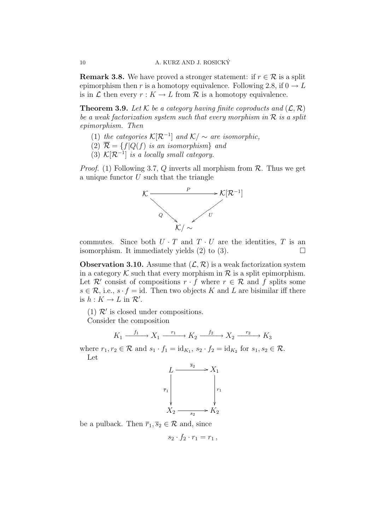**Remark 3.8.** We have proved a stronger statement: if  $r \in \mathcal{R}$  is a split epimorphism then r is a homotopy equivalence. Following 2.8, if  $0 \rightarrow L$ is in L then every  $r : K \to L$  from R is a homotopy equivalence.

**Theorem 3.9.** Let K be a category having finite coproducts and  $(\mathcal{L}, \mathcal{R})$ be a weak factorization system such that every morphism in  $\mathcal R$  is a split epimorphism. Then

- (1) the categories  $\mathcal{K}[\mathcal{R}^{-1}]$  and  $\mathcal{K}/\sim$  are isomorphic,
- (2)  $\overline{\mathcal{R}} = \{f|Q(f)$  is an isomorphism} and
- (3)  $\mathcal{K}[\mathcal{R}^{-1}]$  is a locally small category.

*Proof.* (1) Following 3.7, Q inverts all morphism from  $\mathcal{R}$ . Thus we get a unique functor  $U$  such that the triangle



commutes. Since both  $U \cdot T$  and  $T \cdot U$  are the identities,  $T$  is an isomorphism. It immediately yields  $(2)$  to  $(3)$ .

**Observation 3.10.** Assume that  $(\mathcal{L}, \mathcal{R})$  is a weak factorization system in a category  $K$  such that every morphism in  $R$  is a split epimorphism. Let  $\mathcal{R}'$  consist of compositions  $r \cdot f$  where  $r \in \mathcal{R}$  and f splits some  $s \in \mathcal{R}$ , i.e.,  $s \cdot f = id$ . Then two objects K and L are bisimilar iff there is  $h: K \to L$  in  $\mathcal{R}'$ .

(1)  $\mathcal{R}'$  is closed under compositions.

Consider the composition

$$
K_1 \xrightarrow{f_1} X_1 \xrightarrow{r_1} K_2 \xrightarrow{f_2} X_2 \xrightarrow{r_2} K_3
$$

where  $r_1, r_2 \in \mathcal{R}$  and  $s_1 \cdot f_1 = \text{id}_{K_1}, s_2 \cdot f_2 = \text{id}_{K_2}$  for  $s_1, s_2 \in \mathcal{R}$ . Let



be a pulback. Then  $\bar{r}_1, \bar{s}_2 \in \mathcal{R}$  and, since

$$
s_2 \cdot f_2 \cdot r_1 = r_1 \,,
$$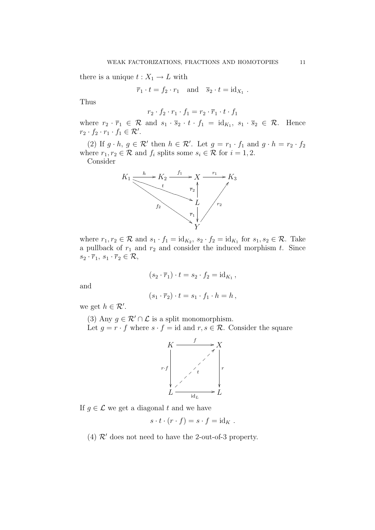there is a unique  $t: X_1 \to L$  with

$$
\overline{r}_1 \cdot t = f_2 \cdot r_1
$$
 and  $\overline{s}_2 \cdot t = id_{X_1}$ .

Thus

$$
r_2 \cdot f_2 \cdot r_1 \cdot f_1 = r_2 \cdot \overline{r}_1 \cdot t \cdot f_1
$$

where  $r_2 \cdot \overline{r}_1 \in \mathcal{R}$  and  $s_1 \cdot \overline{s}_2 \cdot t \cdot f_1 = \text{id}_{K_1}, s_1 \cdot \overline{s}_2 \in \mathcal{R}$ . Hence  $r_2 \cdot f_2 \cdot r_1 \cdot f_1 \in \mathcal{R}'$ .

(2) If  $g \cdot h$ ,  $g \in \mathcal{R}'$  then  $h \in \mathcal{R}'$ . Let  $g = r_1 \cdot f_1$  and  $g \cdot h = r_2 \cdot f_2$ where  $r_1, r_2 \in \mathcal{R}$  and  $f_i$  splits some  $s_i \in \mathcal{R}$  for  $i = 1, 2$ .

Consider



where  $r_1, r_2 \in \mathcal{R}$  and  $s_1 \cdot f_1 = \text{id}_{K_2}, s_2 \cdot f_2 = \text{id}_{K_1}$  for  $s_1, s_2 \in \mathcal{R}$ . Take a pullback of  $r_1$  and  $r_2$  and consider the induced morphism  $t$ . Since  $s_2 \cdot \overline{r}_1, s_1 \cdot \overline{r}_2 \in \mathcal{R},$ 

$$
(s_2 \cdot \overline{r}_1) \cdot t = s_2 \cdot f_2 = \mathrm{id}_{K_1},
$$

and

$$
(s_1 \cdot \overline{r}_2) \cdot t = s_1 \cdot f_1 \cdot h = h,
$$

we get  $h \in \mathcal{R}'$ .

(3) Any  $q \in \mathcal{R}' \cap \mathcal{L}$  is a split monomorphism. Let  $g = r \cdot f$  where  $s \cdot f = id$  and  $r, s \in \mathcal{R}$ . Consider the square



If  $g \in \mathcal{L}$  we get a diagonal t and we have

$$
s \cdot t \cdot (r \cdot f) = s \cdot f = id_K.
$$

(4)  $\mathcal{R}'$  does not need to have the 2-out-of-3 property.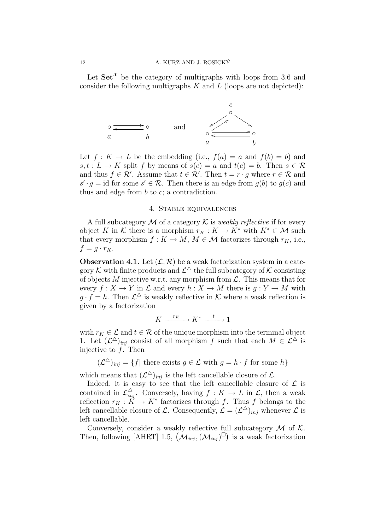Let  $\mathbf{Set}^{\mathcal{X}}$  be the category of multigraphs with loops from 3.6 and consider the following multigraphs  $K$  and  $L$  (loops are not depicted):



Let  $f: K \to L$  be the embedding (i.e.,  $f(a) = a$  and  $f(b) = b$ ) and  $s, t : L \to K$  split f by means of  $s(c) = a$  and  $t(c) = b$ . Then  $s \in \mathcal{R}$ and thus  $f \in \mathcal{R}'$ . Assume that  $t \in \mathcal{R}'$ . Then  $t = r \cdot g$  where  $r \in \mathcal{R}$  and  $s' \cdot g = id$  for some  $s' \in \mathcal{R}$ . Then there is an edge from  $g(b)$  to  $g(c)$  and thus and edge from  $b$  to  $c$ ; a contradiction.

## 4. Stable equivalences

A full subcategory  $\mathcal M$  of a category  $\mathcal K$  is *weakly reflective* if for every object K in K there is a morphism  $r_K : K \to K^*$  with  $K^* \in \mathcal{M}$  such that every morphism  $f: K \to M$ ,  $M \in \mathcal{M}$  factorizes through  $r_K$ , i.e.,  $f = q \cdot r_K$ .

**Observation 4.1.** Let  $(\mathcal{L}, \mathcal{R})$  be a weak factorization system in a category  $\mathcal K$  with finite products and  $\mathcal L^\Delta$  the full subcategory of  $\mathcal K$  consisting of objects M injective w.r.t. any morphism from  $\mathcal{L}$ . This means that for every  $f: X \to Y$  in  $\mathcal L$  and every  $h: X \to M$  there is  $g: Y \to M$  with  $g \cdot f = h$ . Then  $\mathcal{L}^{\Delta}$  is weakly reflective in K where a weak reflection is given by a factorization

$$
K \xrightarrow{r_K} K^* \xrightarrow{t} 1
$$

with  $r_K \in \mathcal{L}$  and  $t \in \mathcal{R}$  of the unique morphism into the terminal object 1. Let  $({\cal L}^{\triangle})_{inj}$  consist of all morphism f such that each  $M \in {\cal L}^{\triangle}$  is injective to  $f$ . Then

$$
(\mathcal{L}^{\triangle})_{inj} = \{f | \text{ there exists } g \in \mathcal{L} \text{ with } g = h \cdot f \text{ for some } h \}
$$

which means that  $(\mathcal{L}^{\Delta})_{inj}$  is the left cancellable closure of  $\mathcal{L}$ .

Indeed, it is easy to see that the left cancellable closure of  $\mathcal L$  is contained in  $\mathcal{L}_{inj}^{\triangle}$ . Conversely, having  $f: K \to L$  in  $\mathcal{L}$ , then a weak reflection  $r_K : K \to K^*$  factorizes through f. Thus f belongs to the left cancellable closure of L. Consequently,  $\mathcal{L} = (\mathcal{L}^{\triangle})_{inj}$  whenever L is left cancellable.

Conversely, consider a weakly reflective full subcategory  $\mathcal M$  of  $\mathcal K$ . Then, following [AHRT] 1.5,  $(\mathcal{M}_{inj}, (\mathcal{M}_{inj})^{\square})$  is a weak factorization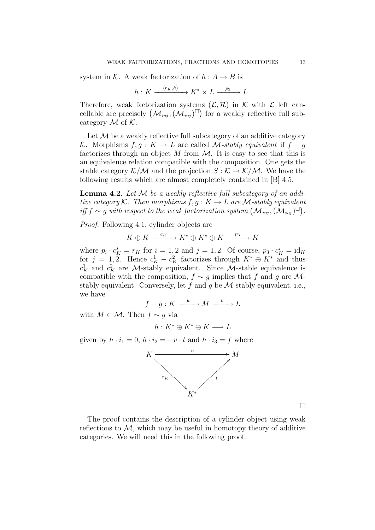system in K. A weak factorization of  $h : A \to B$  is

$$
h: K \xrightarrow{\langle r_K, h \rangle} K^* \times L \xrightarrow{p_2} L.
$$

Therefore, weak factorization systems  $(\mathcal{L}, \mathcal{R})$  in K with  $\mathcal L$  left cancellable are precisely  $(\mathcal{M}_{inj}, (\mathcal{M}_{inj})^{\square})$  for a weakly reflective full subcategory  $M$  of  $K$ .

Let  $M$  be a weakly reflective full subcategory of an additive category K. Morphisms  $f, g: K \to L$  are called M-stably equivalent if  $f - g$ factorizes through an object M from  $M$ . It is easy to see that this is an equivalence relation compatible with the composition. One gets the stable category  $K/M$  and the projection  $S : K \to K/M$ . We have the following results which are almost completely contained in [B] 4.5.

**Lemma 4.2.** Let  $M$  be a weakly reflective full subcategory of an additive category K. Then morphisms  $f, g: K \to L$  are M-stably equivalent iff f  $\sim g$  with respect to the weak factorization system  $(\mathcal{M}_{inj}, (\mathcal{M}_{inj})^{\square})$ .

Proof. Following 4.1, cylinder objects are

 $K \oplus K \xrightarrow{c_K} K^* \oplus K^* \oplus K \xrightarrow{p_3} K$ 

where  $p_i \cdot c_K^j = r_K$  for  $i = 1, 2$  and  $j = 1, 2$ . Of course,  $p_3 \cdot c_K^j = id_K$ for  $j = 1, 2$ . Hence  $c_K^1 - c_K^2$  factorizes through  $K^* \oplus K^*$  and thus  $c_K^1$  and  $c_K^2$  are M-stably equivalent. Since M-stable equivalence is compatible with the composition,  $f \sim g$  implies that f and g are Mstably equivalent. Conversely, let f and g be  $M$ -stably equivalent, i.e., we have

$$
f - g: K \xrightarrow{u} M \xrightarrow{v} L
$$

with  $M \in \mathcal{M}$ . Then  $f \sim g$  via

$$
h: K^* \oplus K^* \oplus K \longrightarrow L
$$

given by  $h \cdot i_1 = 0$ ,  $h \cdot i_2 = -v \cdot t$  and  $h \cdot i_3 = f$  where



 $\Box$ 

The proof contains the description of a cylinder object using weak reflections to  $\mathcal{M}$ , which may be useful in homotopy theory of additive categories. We will need this in the following proof.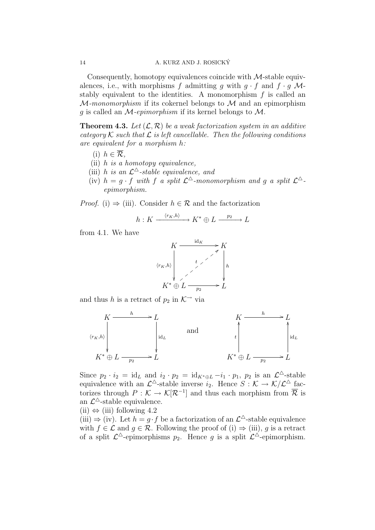Consequently, homotopy equivalences coincide with  $M$ -stable equivalences, i.e., with morphisms f admitting g with  $g \cdot f$  and  $f \cdot g$  Mstably equivalent to the identities. A monomorphism  $f$  is called an  $M$ -monomorphism if its cokernel belongs to  $M$  and an epimorphism g is called an  $\mathcal{M}$ -epimorphism if its kernel belongs to  $\mathcal{M}$ .

**Theorem 4.3.** Let  $(\mathcal{L}, \mathcal{R})$  be a weak factorization system in an additive category  $K$  such that  $\mathcal L$  is left cancellable. Then the following conditions are equivalent for a morphism h:

- (i)  $h \in \overline{\mathcal{R}}$ .
- (ii)  $h$  is a homotopy equivalence,
- (iii) h is an  $\mathcal{L}^{\triangle}$ -stable equivalence, and
- (iv)  $h = g \cdot f$  with f a split  $\mathcal{L}^{\triangle}$ -monomorphism and g a split  $\mathcal{L}^{\triangle}$ epimorphism.

*Proof.* (i)  $\Rightarrow$  (iii). Consider  $h \in \mathcal{R}$  and the factorization

$$
h: K \xrightarrow{\langle r_K, h \rangle} K^* \oplus L \xrightarrow{p_2} L
$$

from 4.1. We have



and thus h is a retract of  $p_2$  in  $K^{\rightarrow}$  via



Since  $p_2 \cdot i_2 = id_L$  and  $i_2 \cdot p_2 = id_{K^* \oplus L} - i_1 \cdot p_1$ ,  $p_2$  is an  $\mathcal{L}^{\triangle}$ -stable equivalence with an  $\mathcal{L}^{\Delta}$ -stable inverse  $i_2$ . Hence  $S: \mathcal{K} \to \mathcal{K}/\mathcal{L}^{\Delta}$  factorizes through  $P: \mathcal{K} \to \mathcal{K}[\mathcal{R}^{-1}]$  and thus each morphism from  $\overline{\mathcal{R}}$  is an  $\mathcal{L}^{\Delta}$ -stable equivalence.

 $(ii) \Leftrightarrow (iii)$  following 4.2

(iii)  $\Rightarrow$  (iv). Let  $h = g \cdot f$  be a factorization of an  $\mathcal{L}^{\Delta}$ -stable equivalence with  $f \in \mathcal{L}$  and  $g \in \mathcal{R}$ . Following the proof of (i)  $\Rightarrow$  (iii), g is a retract of a split  $\mathcal{L}^{\Delta}$ -epimorphisms  $p_2$ . Hence g is a split  $\mathcal{L}^{\Delta}$ -epimorphism.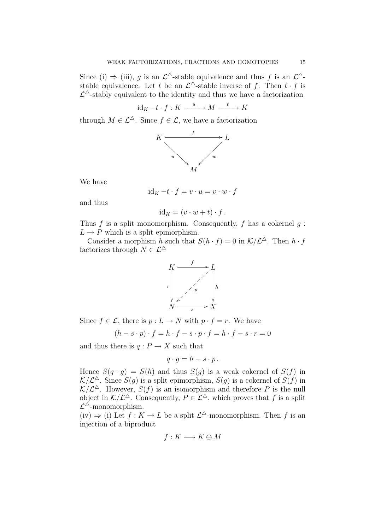Since (i)  $\Rightarrow$  (iii), g is an  $\mathcal{L}^{\Delta}$ -stable equivalence and thus f is an  $\mathcal{L}^{\Delta}$ stable equivalence. Let t be an  $\mathcal{L}^{\Delta}$ -stable inverse of f. Then  $t \cdot f$  is  $\mathcal{L}^{\triangle}$ -stably equivalent to the identity and thus we have a factorization

$$
id_K-t\cdot f:K\stackrel{u}{\longrightarrow}M\stackrel{v}{\longrightarrow}K
$$

through  $M \in \mathcal{L}^{\Delta}$ . Since  $f \in \mathcal{L}$ , we have a factorization



We have

$$
id_K -t \cdot f = v \cdot u = v \cdot w \cdot f
$$

and thus

$$
id_K = (v \cdot w + t) \cdot f.
$$

Thus  $f$  is a split monomorphism. Consequently,  $f$  has a cokernel  $g$ :  $L \rightarrow P$  which is a split epimorphism.

Consider a morphism h such that  $S(h \cdot f) = 0$  in  $K/L^{\Delta}$ . Then  $h \cdot f$ factorizes through  $N \in \mathcal{L}^{\Delta}$ 



Since  $f \in \mathcal{L}$ , there is  $p: L \to N$  with  $p \cdot f = r$ . We have

$$
(h - s \cdot p) \cdot f = h \cdot f - s \cdot p \cdot f = h \cdot f - s \cdot r = 0
$$

and thus there is  $q: P \to X$  such that

$$
q \cdot g = h - s \cdot p.
$$

Hence  $S(q \cdot q) = S(h)$  and thus  $S(q)$  is a weak cokernel of  $S(f)$  in  $\mathcal{K}/\mathcal{L}^{\Delta}$ . Since  $S(g)$  is a split epimorphism,  $S(g)$  is a cokernel of  $S(f)$  in  $\mathcal{K}/\mathcal{L}^{\Delta}$ . However,  $S(f)$  is an isomorphism and therefore P is the null object in  $K/\mathcal{L}^{\Delta}$ . Consequently,  $P \in \mathcal{L}^{\Delta}$ , which proves that f is a split  $\mathcal{L}^{\triangle}$ -monomorphism.

 $(iv) \Rightarrow (i)$  Let  $f: K \rightarrow L$  be a split  $\mathcal{L}^{\Delta}$ -monomorphism. Then f is an injection of a biproduct

$$
f: K \longrightarrow K \oplus M
$$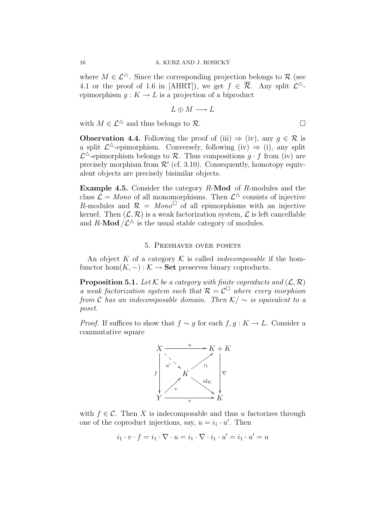where  $M \in \mathcal{L}^{\Delta}$ . Since the corresponding projection belongs to R (see 4.1 or the proof of 1.6 in [AHRT]), we get  $f \in \overline{\mathcal{R}}$ . Any split  $\mathcal{L}^{\Delta}$ epimorphism  $q: K \to L$  is a projection of a biproduct

$$
L \oplus M \longrightarrow L
$$

with  $M \in \mathcal{L}^{\Delta}$  and thus belongs to  $\mathcal{R}$ .

**Observation 4.4.** Following the proof of (iii)  $\Rightarrow$  (iv), any  $q \in \mathcal{R}$  is a split  $\mathcal{L}^{\Delta}$ -epimorphism. Conversely, following (iv)  $\Rightarrow$  (i), any split  $\mathcal{L}^{\triangle}$ -epimorphism belongs to R. Thus compositions  $g \cdot f$  from (iv) are precisely morphism from  $\mathcal{R}'$  (cf. 3.10). Consequently, homotopy equivalent objects are precisely bisimilar objects.

Example 4.5. Consider the category R-Mod of R-modules and the class  $\mathcal{L} = \text{Mono}$  of all monomorphisms. Then  $\mathcal{L}^{\triangle}$  consists of injective R-modules and  $\mathcal{R} = Mono^{\Box}$  of all epimorphisms with an injective kernel. Then  $(\mathcal{L}, \mathcal{R})$  is a weak factorization system,  $\mathcal{L}$  is left cancellable and R-Mod  $\angle \mathcal{L}^{\triangle}$  is the usual stable category of modules.

## 5. Preshaves over posets

An object K of a category  $\mathcal K$  is called *indecomposable* if the homfunctor hom $(K, -): \mathcal{K} \to \mathbf{Set}$  preserves binary coproducts.

**Proposition 5.1.** Let K be a category with finite coproducts and  $(\mathcal{L}, \mathcal{R})$ a weak factorization system such that  $\mathcal{R} = \mathcal{C}^{\square}$  where every morphism from C has an indecomposable domain. Then  $K/\sim$  is equivalent to a poset.

*Proof.* If suffices to show that  $f \sim g$  for each  $f, g: K \to L$ . Consider a commutative square



with  $f \in \mathcal{C}$ . Then X is indecomposable and thus u factorizes through one of the coproduct injections, say,  $u = i_1 \cdot u'$ . Then

$$
i_1 \cdot v \cdot f = i_1 \cdot \nabla \cdot u = i_1 \cdot \nabla \cdot i_1 \cdot u' = i_1 \cdot u' = u
$$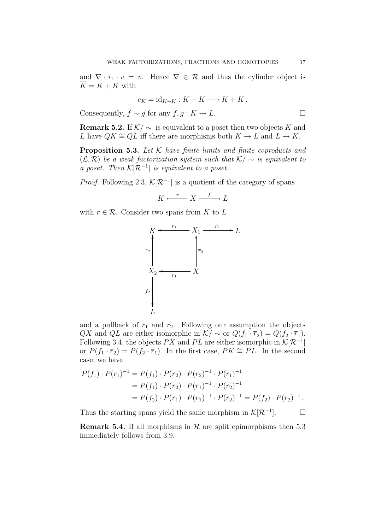and  $\nabla \cdot i_1 \cdot v = v$ . Hence  $\nabla \in \mathcal{R}$  and thus the cylinder object is  $K = K + K$  with

$$
c_K = id_{K+K} : K + K \longrightarrow K + K.
$$

Consequently,  $f \sim q$  for any  $f, q : K \to L$ .

**Remark 5.2.** If  $K/\sim$  is equivalent to a poset then two objects K and L have  $QK \cong QL$  iff there are morphisms both  $K \to L$  and  $L \to K$ .

**Proposition 5.3.** Let  $K$  have finite limits and finite coproducts and  $(\mathcal{L}, \mathcal{R})$  be a weak factorization system such that  $\mathcal{K}/\sim$  is equivalent to a poset. Then  $\mathcal{K}[\mathcal{R}^{-1}]$  is equivalent to a poset.

*Proof.* Following 2.3,  $\mathcal{K}[\mathcal{R}^{-1}]$  is a quotient of the category of spans

$$
K \xleftarrow{r} X \xrightarrow{f} L
$$

with  $r \in \mathcal{R}$ . Consider two spans from K to L



and a pullback of  $r_1$  and  $r_2$ . Following our assumption the objects QX and QL are either isomorphic in  $\mathcal{K} \sim$  or  $Q(f_1 \cdot \overline{r}_2) = Q(f_2 \cdot \overline{r}_1)$ . Following 3.4, the objects  $PX$  and  $PL$  are either isomorphic in  $\mathcal{K}[\mathcal{R}^{-1}]$ or  $P(f_1 \cdot \overline{r}_2) = P(f_2 \cdot \overline{r}_1)$ . In the first case,  $PK \cong PL$ . In the second case, we have

$$
P(f_1) \cdot P(r_1)^{-1} = P(f_1) \cdot P(\overline{r}_2) \cdot P(\overline{r}_2)^{-1} \cdot P(r_1)^{-1}
$$
  
=  $P(f_1) \cdot P(\overline{r}_2) \cdot P(\overline{r}_1)^{-1} \cdot P(r_2)^{-1}$   
=  $P(f_2) \cdot P(\overline{r}_1) \cdot P(\overline{r}_1)^{-1} \cdot P(r_2)^{-1} = P(f_2) \cdot P(r_2)^{-1}$ .

Thus the starting spans yield the same morphism in  $\mathcal{K}[\mathcal{R}^{-1}]$ .  $\Box$ 

**Remark 5.4.** If all morphisms in  $\mathcal{R}$  are split epimorphisms then 5.3 immediately follows from 3.9.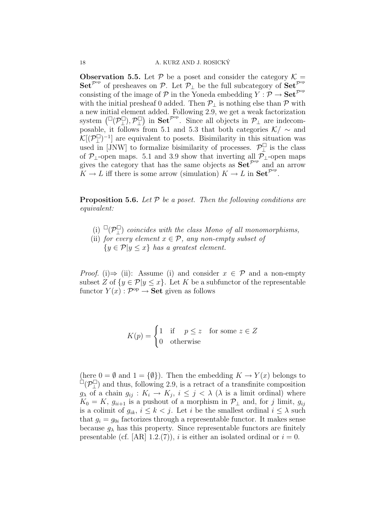**Observation 5.5.** Let  $\mathcal{P}$  be a poset and consider the category  $\mathcal{K} =$ Set<sup> $\mathcal{P}^{\text{op}}$ </sup> of presheaves on  $\mathcal{P}$ . Let  $\mathcal{P}_{\perp}$  be the full subcategory of Set<sup> $\mathcal{P}^{\text{op}}$ </sup> consisting of the image of P in the Yoneda embedding  $Y : \mathcal{P} \to \mathbf{Set}^{\mathcal{P}^{op}}$ with the initial presheaf 0 added. Then  $\mathcal{P}_\perp$  is nothing else than  $\mathcal P$  with a new initial element added. Following 2.9, we get a weak factorization system  $\left(\mathbb{Z}(\mathcal{P}_{\perp}^{\square}), \mathcal{P}_{\perp}^{\square}\right)$  $\Box$  in Set<sup> $p^{\rm op}$ </sup>. Since all objects in  $\mathcal{P}_\perp$  are indecomposable, it follows from 5.1 and 5.3 that both categories  $\mathcal{K}/\sim$  and  $\mathcal{K}[(\mathcal{P}_\perp^{\Box})^{-1}]$  are equivalent to posets. Bisimilarity in this situation was used in [JNW] to formalize bisimilarity of processes.  $\mathcal{P}^{\square}_{\perp}$  is the class of  $\mathcal{P}_\perp$ -open maps. 5.1 and 3.9 show that inverting all  $\mathcal{P}_\perp$ -open maps gives the category that has the same objects as  $\overline{\mathbf{Set}}^{\mathcal{P}^{op}}$  and an arrow  $K \to L$  iff there is some arrow (simulation)  $K \to L$  in  $\mathbf{Set}^{\mathcal{P}^{op}}$ .

**Proposition 5.6.** Let  $P$  be a poset. Then the following conditions are equivalent:

- (i)  $\Box(\mathcal{P}_\bot^{\Box})$  coincides with the class Mono of all monomorphisms,
- (ii) for every element  $x \in \mathcal{P}$ , any non-empty subset of  ${y \in \mathcal{P}|y \leq x}$  has a greatest element.

*Proof.* (i) $\Rightarrow$  (ii): Assume (i) and consider  $x \in \mathcal{P}$  and a non-empty subset Z of  $\{y \in \mathcal{P} | y \leq x\}$ . Let K be a subfunctor of the representable functor  $Y(x) : \mathcal{P}^{\text{op}} \to \mathbf{Set}$  given as follows

$$
K(p) = \begin{cases} 1 & \text{if } p \le z \text{ for some } z \in Z \\ 0 & \text{otherwise} \end{cases}
$$

(here  $0 = \emptyset$  and  $1 = {\emptyset}$ ). Then the embedding  $K \to Y(x)$  belongs to  $\Box(\mathcal{P}_\perp^{\Box})$  and thus, following 2.9, is a retract of a transfinite composition  $g_{\lambda}$  of a chain  $g_{ij}: K_i \to K_j$ ,  $i \leq j < \lambda$  ( $\lambda$  is a limit ordinal) where  $K_0 = K$ ,  $g_{ii+1}$  is a pushout of a morphism in  $\mathcal{P}_\perp$  and, for j limit,  $g_{ij}$ is a colimit of  $g_{ik}$ ,  $i \leq k < j$ . Let i be the smallest ordinal  $i \leq \lambda$  such that  $g_i = g_{0i}$  factorizes through a representable functor. It makes sense because  $g_{\lambda}$  has this property. Since representable functors are finitely presentable (cf. [AR] 1.2.(7)), i is either an isolated ordinal or  $i = 0$ .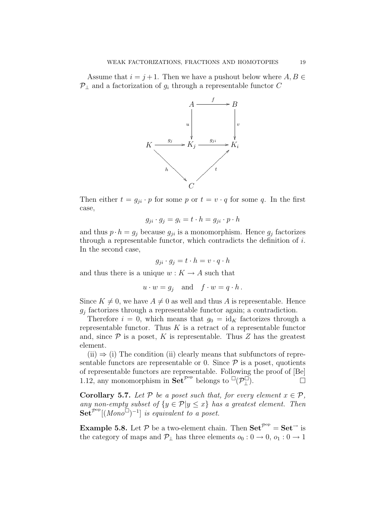Assume that  $i = j + 1$ . Then we have a pushout below where  $A, B \in$  $P_{\perp}$  and a factorization of  $g_i$  through a representable functor C



Then either  $t = g_{ji} \cdot p$  for some p or  $t = v \cdot q$  for some q. In the first case,

$$
g_{ji} \cdot g_j = g_i = t \cdot h = g_{ji} \cdot p \cdot h
$$

and thus  $p \cdot h = g_j$  because  $g_{ji}$  is a monomorphism. Hence  $g_j$  factorizes through a representable functor, which contradicts the definition of  $i$ . In the second case,

$$
g_{ji} \cdot g_j = t \cdot h = v \cdot q \cdot h
$$

and thus there is a unique  $w: K \to A$  such that

$$
u \cdot w = g_j
$$
 and  $f \cdot w = q \cdot h$ .

Since  $K \neq 0$ , we have  $A \neq 0$  as well and thus A is representable. Hence  $g_j$  factorizes through a representable functor again; a contradiction.

Therefore  $i = 0$ , which means that  $g_0 = id_K$  factorizes through a representable functor. Thus  $K$  is a retract of a representable functor and, since  $P$  is a poset, K is representable. Thus Z has the greatest element.

 $(ii) \Rightarrow (i)$  The condition (ii) clearly means that subfunctors of representable functors are representable or 0. Since  $P$  is a poset, quotients of representable functors are representable. Following the proof of [Be] 1.12, any monomorphism in  $\mathbf{Set}^{\mathcal{P}^{\mathrm{op}}}$  belongs to  $\Box(\mathcal{P}_\bot^{\Box})$ .

**Corollary 5.7.** Let P be a poset such that, for every element  $x \in \mathcal{P}$ , any non-empty subset of  $\{y \in \mathcal{P} | y \leq x\}$  has a greatest element. Then  $\mathbf{Set}^{\mathcal{P}^{\mathrm{op}}}[(Monodot^{-1})^{-1}]$  is equivalent to a poset.

**Example 5.8.** Let  $P$  be a two-element chain. Then  $\mathbf{Set}^{\mathcal{P}^{op}} = \mathbf{Set}^{\rightarrow}$  is the category of maps and  $\mathcal{P}_\perp$  has three elements  $o_0: 0 \to 0, o_1: 0 \to 1$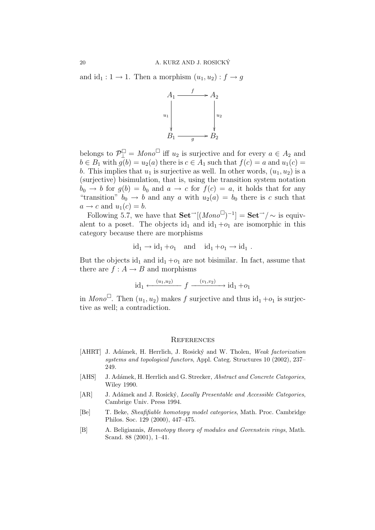and  $id_1 : 1 \to 1$ . Then a morphism  $(u_1, u_2) : f \to g$ 



belongs to  $\mathcal{P}_{\perp}^{\square} = \text{Mono}^{\square}$  iff  $u_2$  is surjective and for every  $a \in A_2$  and  $b \in \overline{B_1}$  with  $g(b) = u_2(a)$  there is  $c \in A_1$  such that  $f(c) = a$  and  $u_1(c) = a$ b. This implies that  $u_1$  is surjective as well. In other words,  $(u_1, u_2)$  is a (surjective) bisimulation, that is, using the transition system notation  $b_0 \rightarrow b$  for  $g(b) = b_0$  and  $a \rightarrow c$  for  $f(c) = a$ , it holds that for any "transition"  $b_0 \rightarrow b$  and any a with  $u_2(a) = b_0$  there is c such that  $a \rightarrow c$  and  $u_1(c) = b$ .

Following 5.7, we have that  $\textbf{Set}^{-1}[(\textit{Mono}^{\square})^{-1}] = \textbf{Set}^{-1}/\sim$  is equivalent to a poset. The objects id<sub>1</sub> and id<sub>1</sub> + $o_1$  are isomorphic in this category because there are morphisms

$$
id_1 \to id_1 + o_1 \quad \text{and} \quad id_1 + o_1 \to id_1 .
$$

But the objects id<sub>1</sub> and id<sub>1</sub> +o<sub>1</sub> are not bisimilar. In fact, assume that there are  $f : A \rightarrow B$  and morphisms

$$
id_1 \xleftarrow{(u_1, u_2)} f \xrightarrow{(v_1, v_2)} id_1 + o_1
$$

in Mono<sup> $\Box$ </sup>. Then  $(u_1, u_2)$  makes f surjective and thus  $\mathrm{id}_1 + o_1$  is surjective as well; a contradiction.

#### **REFERENCES**

- [AHRT] J. Adámek, H. Herrlich, J. Rosický and W. Tholen, Weak factorization systems and topological functors, Appl. Categ. Structures 10 (2002), 237– 249.
- [AHS] J. Adámek, H. Herrlich and G. Strecker, Abstract and Concrete Categories, Wiley 1990.
- [AR] J. Adámek and J. Rosický, Locally Presentable and Accessible Categories, Cambrige Univ. Press 1994.
- [Be] T. Beke, Sheafifiable homotopy model categories, Math. Proc. Cambridge Philos. Soc. 129 (2000), 447–475.
- [B] A. Beligiannis, Homotopy theory of modules and Gorenstein rings, Math. Scand. 88 (2001), 1–41.